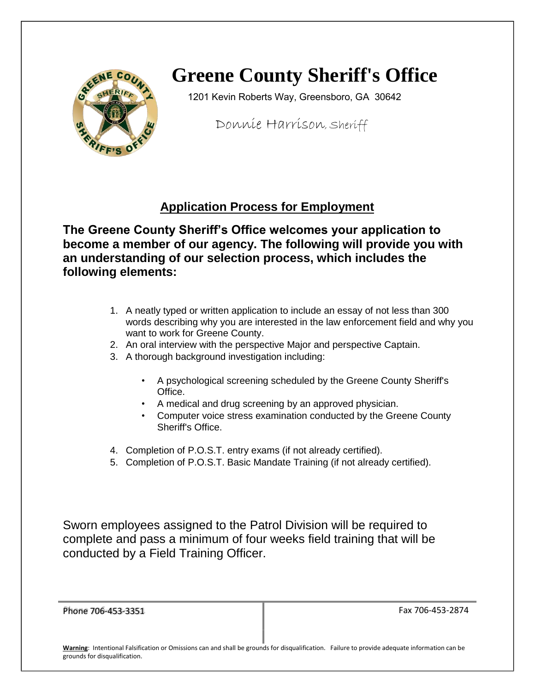

# **Greene County Sheriff's Office**

1201 Kevin Roberts Way, Greensboro, GA 30642

Donnie Harrison, Sheriff

### **Application Process for Employment**

**The Greene County Sheriff's Office welcomes your application to become a member of our agency. The following will provide you with an understanding of our selection process, which includes the following elements:** 

- 1. A neatly typed or written application to include an essay of not less than 300 words describing why you are interested in the law enforcement field and why you want to work for Greene County.
- 2. An oral interview with the perspective Major and perspective Captain.
- 3. A thorough background investigation including:
	- A psychological screening scheduled by the Greene County Sheriff's Office.
	- A medical and drug screening by an approved physician.
	- Computer voice stress examination conducted by the Greene County Sheriff's Office.
- 4. Completion of P.O.S.T. entry exams (if not already certified).
- 5. Completion of P.O.S.T. Basic Mandate Training (if not already certified).

Sworn employees assigned to the Patrol Division will be required to complete and pass a minimum of four weeks field training that will be conducted by a Field Training Officer.

| Phone 706-453-3351 |                                                  |  |
|--------------------|--------------------------------------------------|--|
|                    |                                                  |  |
|                    |                                                  |  |
|                    |                                                  |  |
|                    |                                                  |  |
| <br>.<br>. .<br>.  | $\cdots$<br>$\cdot$<br>$\sim$ $\sim$<br>$ \cdot$ |  |

Fax 706-453-2874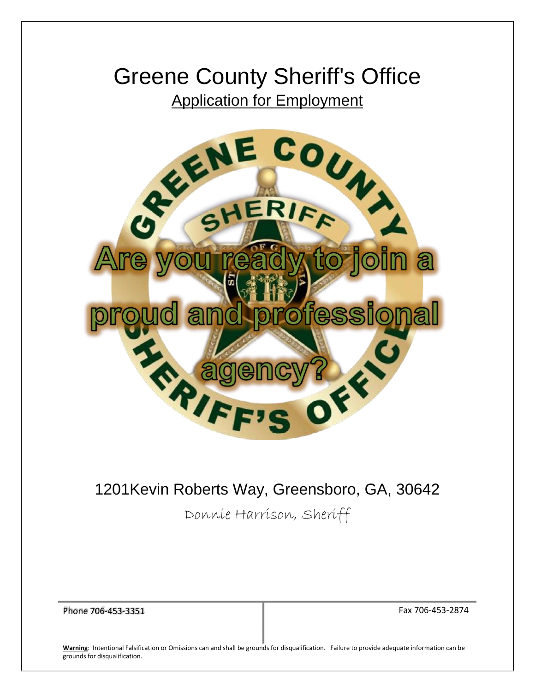# Greene County Sheriff's Office Application for Employment



### 1201Kevin Roberts Way, Greensboro, GA, 30642

Donnie Harrison, Sheriff

Phone 706-453-3351 **Fax 706-453-2874**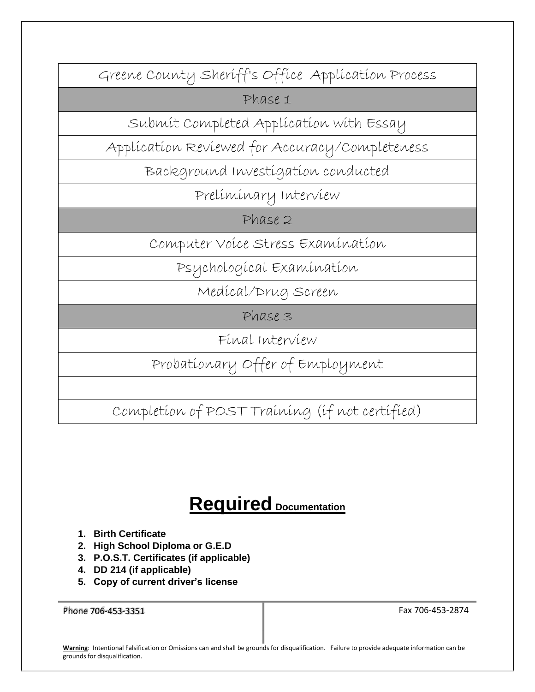Greene County Sheriff's Office Application Process

Phase 1

Submit Completed Application with Essay

Application Reviewed for Accuracy/Completeness

Background Investigation conducted

Preliminary Interview

Phase 2

Computer Voice Stress Examination

Psychological Examination

Medical/Drug Screen

Phase 3

Final Interview

Probationary Offer of Employment

Completion of POST Training (if not certified)

## **Required Documentation**

- **1. Birth Certificate**
- **2. High School Diploma or G.E.D**
- **3. P.O.S.T. Certificates (if applicable)**
- **4. DD 214 (if applicable)**
- **5. Copy of current driver's license**

Phone 706-453-3351 Fax 706-453-2874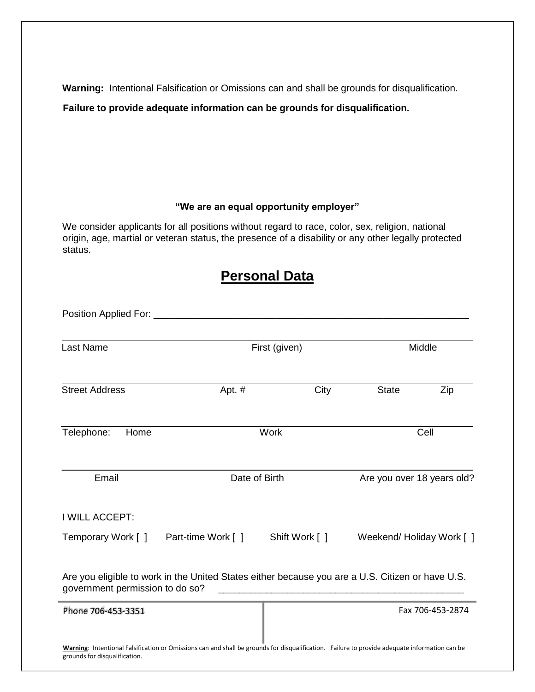**Warning:** Intentional Falsification or Omissions can and shall be grounds for disqualification.

**Failure to provide adequate information can be grounds for disqualification.** 

#### **"We are an equal opportunity employer"**

We consider applicants for all positions without regard to race, color, sex, religion, national origin, age, martial or veteran status, the presence of a disability or any other legally protected status.

### **Personal Data**

| Position Applied For: _         |                                                                                                                                               |                |                            |                  |
|---------------------------------|-----------------------------------------------------------------------------------------------------------------------------------------------|----------------|----------------------------|------------------|
| <b>Last Name</b>                | First (given)                                                                                                                                 |                | Middle                     |                  |
| <b>Street Address</b>           | Apt. #                                                                                                                                        | City           | <b>State</b>               | Zip              |
| Telephone:<br>Home              |                                                                                                                                               | Work           |                            | Cell             |
| Email                           | Date of Birth                                                                                                                                 |                | Are you over 18 years old? |                  |
| I WILL ACCEPT:                  |                                                                                                                                               |                |                            |                  |
| Temporary Work [ ]              | Part-time Work [ ]                                                                                                                            | Shift Work [ ] | Weekend/Holiday Work [ ]   |                  |
| government permission to do so? | Are you eligible to work in the United States either because you are a U.S. Citizen or have U.S.                                              |                |                            |                  |
| Phone 706-453-3351              |                                                                                                                                               |                |                            | Fax 706-453-2874 |
| grounds for disqualification.   | Warning: Intentional Falsification or Omissions can and shall be grounds for disqualification. Failure to provide adequate information can be |                |                            |                  |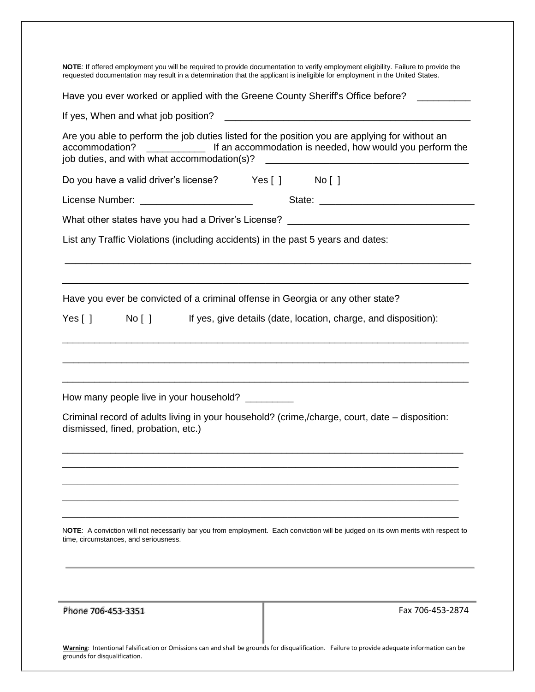| Have you ever worked or applied with the Greene County Sheriff's Office before?<br>Are you able to perform the job duties listed for the position you are applying for without an<br>If an accommodation is needed, how would you perform the<br>accommodation?<br>job duties, and with what accommodation(s)?<br>Do you have a valid driver's license? Yes [ ] No [ ] |
|------------------------------------------------------------------------------------------------------------------------------------------------------------------------------------------------------------------------------------------------------------------------------------------------------------------------------------------------------------------------|
|                                                                                                                                                                                                                                                                                                                                                                        |
|                                                                                                                                                                                                                                                                                                                                                                        |
|                                                                                                                                                                                                                                                                                                                                                                        |
|                                                                                                                                                                                                                                                                                                                                                                        |
|                                                                                                                                                                                                                                                                                                                                                                        |
| What other states have you had a Driver's License? _____________________________                                                                                                                                                                                                                                                                                       |
| List any Traffic Violations (including accidents) in the past 5 years and dates:                                                                                                                                                                                                                                                                                       |
| Have you ever be convicted of a criminal offense in Georgia or any other state?<br>$\mathsf{No}[\ ]$<br>If yes, give details (date, location, charge, and disposition):<br>Yes $[ ]$                                                                                                                                                                                   |
| How many people live in your household? _________<br>Criminal record of adults living in your household? (crime,/charge, court, date – disposition:<br>dismissed, fined, probation, etc.)                                                                                                                                                                              |
| NOTE: A conviction will not necessarily bar you from employment. Each conviction will be judged on its own merits with respect to<br>time, circumstances, and seriousness.                                                                                                                                                                                             |
| Phone 706-453-3351<br>Fax 706-453-2874<br>Warning: Intentional Falsification or Omissions can and shall be grounds for disqualification. Failure to provide adequate information can be                                                                                                                                                                                |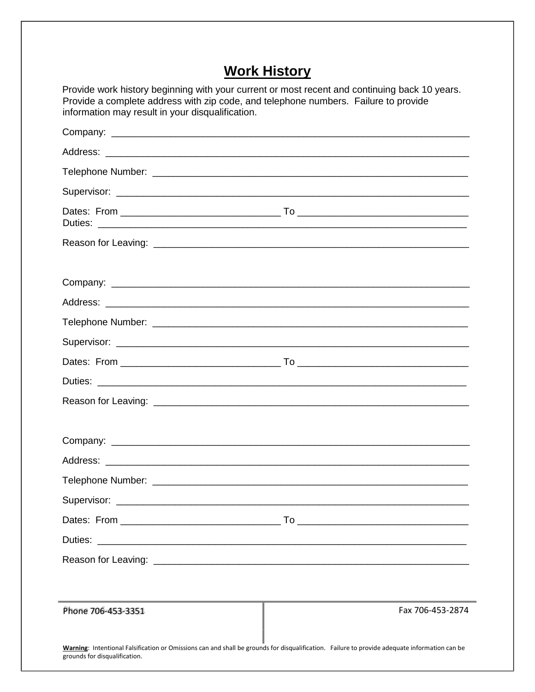### **Work History**

| Provide work history beginning with your current or most recent and continuing back 10 years.<br>Provide a complete address with zip code, and telephone numbers. Failure to provide<br>information may result in your disqualification. |                  |
|------------------------------------------------------------------------------------------------------------------------------------------------------------------------------------------------------------------------------------------|------------------|
|                                                                                                                                                                                                                                          |                  |
|                                                                                                                                                                                                                                          |                  |
|                                                                                                                                                                                                                                          |                  |
|                                                                                                                                                                                                                                          |                  |
|                                                                                                                                                                                                                                          |                  |
|                                                                                                                                                                                                                                          |                  |
|                                                                                                                                                                                                                                          |                  |
|                                                                                                                                                                                                                                          |                  |
|                                                                                                                                                                                                                                          |                  |
|                                                                                                                                                                                                                                          |                  |
|                                                                                                                                                                                                                                          |                  |
|                                                                                                                                                                                                                                          |                  |
|                                                                                                                                                                                                                                          |                  |
|                                                                                                                                                                                                                                          |                  |
|                                                                                                                                                                                                                                          |                  |
|                                                                                                                                                                                                                                          |                  |
|                                                                                                                                                                                                                                          |                  |
|                                                                                                                                                                                                                                          |                  |
| Duties:                                                                                                                                                                                                                                  |                  |
|                                                                                                                                                                                                                                          |                  |
| Phone 706-453-3351                                                                                                                                                                                                                       | Fax 706-453-2874 |
| Warning: Intentional Falsification or Omissions can and shall be grounds for disqualification. Failure to provide adequate information can be<br>grounds for disqualification.                                                           |                  |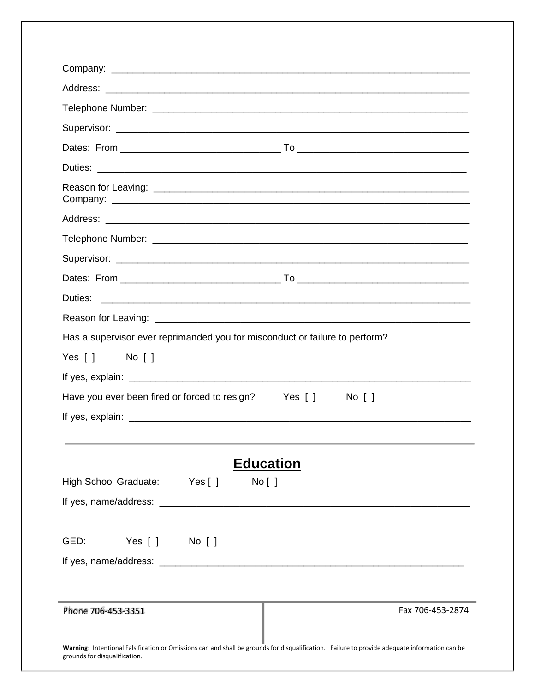| Has a supervisor ever reprimanded you for misconduct or failure to perform?                                                                                                    |
|--------------------------------------------------------------------------------------------------------------------------------------------------------------------------------|
| $Yes [ ]$ No $[]$                                                                                                                                                              |
|                                                                                                                                                                                |
| Have you ever been fired or forced to resign?<br>Yes [ ]<br>$No$ $\lceil$ $\rceil$                                                                                             |
|                                                                                                                                                                                |
|                                                                                                                                                                                |
| <b>Education</b>                                                                                                                                                               |
| High School Graduate: Yes []<br>No [ ]                                                                                                                                         |
|                                                                                                                                                                                |
|                                                                                                                                                                                |
| Yes [ ] No [ ]<br>GED:                                                                                                                                                         |
|                                                                                                                                                                                |
|                                                                                                                                                                                |
|                                                                                                                                                                                |
| Phone 706-453-3351<br>Fax 706-453-2874                                                                                                                                         |
| Warning: Intentional Falsification or Omissions can and shall be grounds for disqualification. Failure to provide adequate information can be<br>grounds for disqualification. |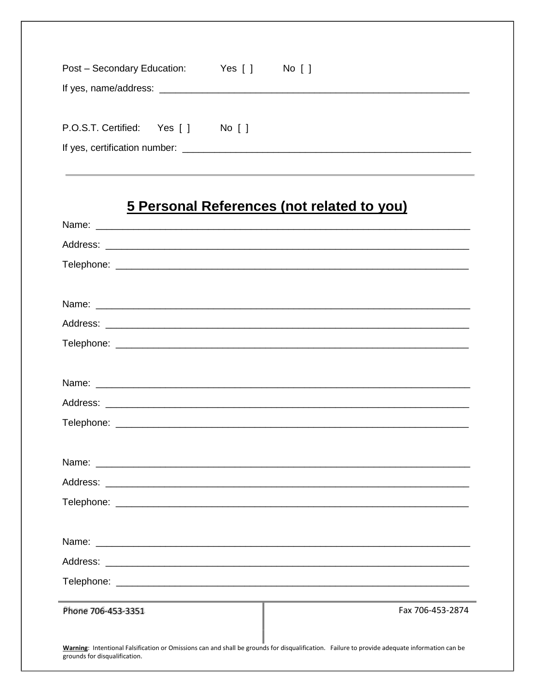| Post - Secondary Education: | Yes [ ]                | No [ ] |
|-----------------------------|------------------------|--------|
| If yes, name/address:       |                        |        |
| P.O.S.T. Certified: Yes []  | $No$ $\lceil$ $\rceil$ |        |

## 5 Personal References (not related to you)

| Phone 706-453-3351            | Fax 706-453-2874                                                                                                                              |  |  |  |  |
|-------------------------------|-----------------------------------------------------------------------------------------------------------------------------------------------|--|--|--|--|
|                               |                                                                                                                                               |  |  |  |  |
| grounds for disqualification. | Warning: Intentional Falsification or Omissions can and shall be grounds for disqualification. Failure to provide adequate information can be |  |  |  |  |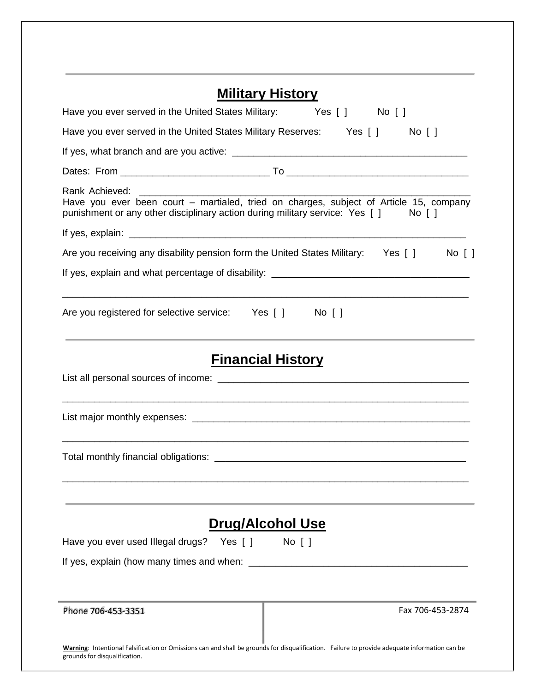| <b>Military History</b>                                                                                                                                                                       |
|-----------------------------------------------------------------------------------------------------------------------------------------------------------------------------------------------|
| Have you ever served in the United States Military: Yes [] No []                                                                                                                              |
| Have you ever served in the United States Military Reserves: Yes [] No []                                                                                                                     |
|                                                                                                                                                                                               |
|                                                                                                                                                                                               |
| Rank Achieved:<br>Have you ever been court - martialed, tried on charges, subject of Article 15, company<br>punishment or any other disciplinary action during military service: Yes [] No [] |
|                                                                                                                                                                                               |
| Are you receiving any disability pension form the United States Military: Yes [] No []                                                                                                        |
|                                                                                                                                                                                               |
| <u> 1980 - Andrea Station Barbara, actor a component de la componentación de la componentación de la componentaci</u><br>Are you registered for selective service: Yes [] No []               |
| <b>Financial History</b>                                                                                                                                                                      |
|                                                                                                                                                                                               |
| ,一个人的人都是一个人的人,我们就是一个人的人,我们就是一个人的人,我们就是一个人的人,我们就是一个人的人,我们就是一个人的人,我们就是一个人的人,我们就是一个                                                                                                              |
|                                                                                                                                                                                               |
| <b>Drug/Alcohol Use</b>                                                                                                                                                                       |
| Have you ever used Illegal drugs?<br>$No$ $\lceil$ $\rceil$<br>Yes $\lceil \cdot \rceil$                                                                                                      |
| If yes, explain (how many times and when:                                                                                                                                                     |
| Phone 706-453-3351<br>Fax 706-453-2874                                                                                                                                                        |
| Warning: Intentional Falsification or Omissions can and shall be grounds for disqualification. Failure to provide adequate information can be<br>grounds for disqualification.                |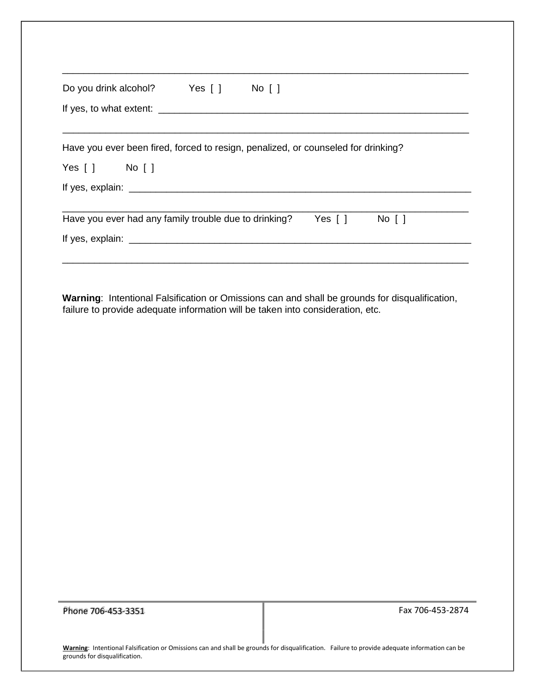| Do you drink alcohol? Yes [] No []                                                                                                     |  |  |  |  |  |
|----------------------------------------------------------------------------------------------------------------------------------------|--|--|--|--|--|
|                                                                                                                                        |  |  |  |  |  |
|                                                                                                                                        |  |  |  |  |  |
| Have you ever been fired, forced to resign, penalized, or counseled for drinking?                                                      |  |  |  |  |  |
| Yes [ ] No [ ]                                                                                                                         |  |  |  |  |  |
|                                                                                                                                        |  |  |  |  |  |
| Have you ever had any family trouble due to drinking? Yes $\begin{bmatrix} 1 \\ \end{bmatrix}$ No $\begin{bmatrix} 1 \\ \end{bmatrix}$ |  |  |  |  |  |
|                                                                                                                                        |  |  |  |  |  |
|                                                                                                                                        |  |  |  |  |  |

failure to provide adequate information will be taken into consideration, etc.

Phone 706-453-3351 Fax 706-453-2874